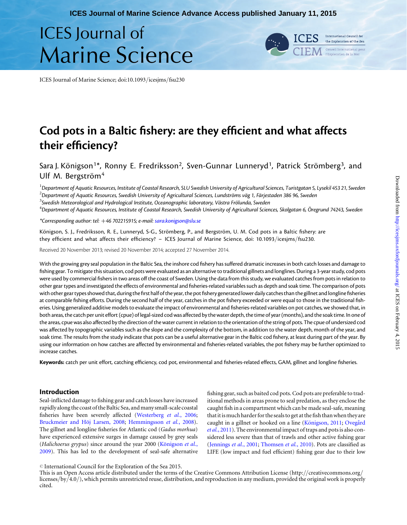# ICES Journal of Marine Science



International Council for the Exploration of the Sea

ICES Journal of Marine Science; doi:10.1093/icesjms/fsu230

# Cod pots in a Baltic fishery: are they efficient and what affects their efficiency?

# Sara J. Königson<sup>1\*</sup>, Ronny E. Fredriksson<sup>2</sup>, Sven-Gunnar Lunneryd<sup>1</sup>, Patrick Strömberg<sup>3</sup>, and Ulf M. Bergström<sup>4</sup>

 $^{\rm l}$ Department of Aquatic Resources, Institute of Coastal Research, SLU Swedish University of Agricultural Sciences, Turistgatan 5, Lysekil 453 21, Sweden <sup>2</sup>Department of Aquatic Resources, Swedish University of Agricultural Sciences, Lundströms väg 1, Färjestaden 386 96, Sweden<br><sup>3</sup>Swedish Meteorological and Hydrological Institute Oceanographic laboratory Västra Erölynda, S

 $3$ Swedish Meteorological and Hydrological Institute, Oceanographic laboratory, Västra Frölunda, Sweden

<sup>4</sup>Department of Aquatic Resources, Institute of Coastal Research, Swedish University of Agricultural Sciences, Skolgatan 6, Öregrund 74243, Sweden

\*Corresponding author: tel: +46 702215915; e-mail: [sara.konigson@slu.se](mailto:sara.konigson@slu.se)

Königson, S. J., Fredriksson, R. E., Lunneryd, S-G., Strömberg, P., and Bergström, U. M. Cod pots in a Baltic fishery: are they efficient and what affects their efficiency? – ICES Journal of Marine Science, doi: 10.1093/icesjms/fsu230.

Received 20 November 2013; revised 20 November 2014; accepted 27 November 2014.

With the growing grey seal population in the Baltic Sea, the inshore cod fishery has suffered dramatic increases in both catch losses and damage to fishing gear. To mitigate this situation, cod pots were evaluated as an alternative to traditional gillnets and longlines. During a 3-year study, cod pots were used by commercial fishers in two areas off the coast of Sweden. Using the data from this study, we evaluated catches from pots in relation to other gear types and investigated the effects of environmental and fisheries-related variables such as depth and soak time. The comparison of pots with other gear types showed that, during the first half of the year, the pot fishery generated lower daily catches than the gillnet and longline fisheries at comparable fishing efforts. During the second half of the year, catches in the pot fishery exceeded or were equal to those in the traditional fisheries. Using generalized additive models to evaluate the impact of environmental and fisheries-related variables on pot catches, we showed that, in both areas, the catch per unit effort (cpue) of legal-sized cod was affected by the water depth, the time of year (months), and the soak time. In one of the areas, cpue was also affected by the direction of the water current in relation to the orientation of the string of pots. The cpue of undersized cod was affected by topographic variables such as the slope and the complexity of the bottom, in addition to the water depth, month of the year, and soak time. The results from the study indicate that pots can be a useful alternative gear in the Baltic cod fishery, at least during part of the year. By using our information on how catches are affected by environmental and fisheries-related variables, the pot fishery may be further optimized to increase catches.

Keywords: catch per unit effort, catching efficiency, cod pot, environmental and fisheries-related effects, GAM, gillnet and longline fisheries.

# Introduction

Seal-inflicted damage to fishing gear and catch losses have increased rapidly along the coast of the Baltic Sea, andmany small-scale coastal fisheries have been severely affected ([Westerberg](#page-9-0) et al., 2006; Bruckmeier and Höj Larsen, 2008; [Hemmingsson](#page-8-0) et al., 2008). The gillnet and longline fisheries for Atlantic cod (Gadus morhua) have experienced extensive surges in damage caused by grey seals (Halichoerus grypus) since around the year 2000 (Königson et al., [2009\)](#page-8-0). This has led to the development of seal-safe alternative

fishing gear, such as baited cod pots. Cod pots are preferable to traditional methods in areas prone to seal predation, as they enclose the caught fish in a compartment which can be made seal-safe, meaning that it is much harder for the seals to get at the fish than when they are caught in a gillnet or hooked on a line (Königson, 2011; Ovegård et al.[, 2011\)](#page-9-0). The environmental impact of traps and pots is also considered less severe than that of trawls and other active fishing gear [\(Jennings](#page-8-0) et al., 2001; [Thomsen](#page-9-0) et al., 2010). Pots are classified as LIFE (low impact and fuel efficient) fishing gear due to their low

 $\circ$  International Council for the Exploration of the Sea 2015. This is an Open Access article distributed under the terms of the Creative Commons Attribution License [\(http:](http://creativecommons.org/licenses/by/4.0/)//[creativecommons.org](http://creativecommons.org/licenses/by/4.0/)/

[licenses](http://creativecommons.org/licenses/by/4.0/)/by/4.0/), which permits unrestricted reuse, distribution, and reproduction in any medium, provided the original work is properly cited.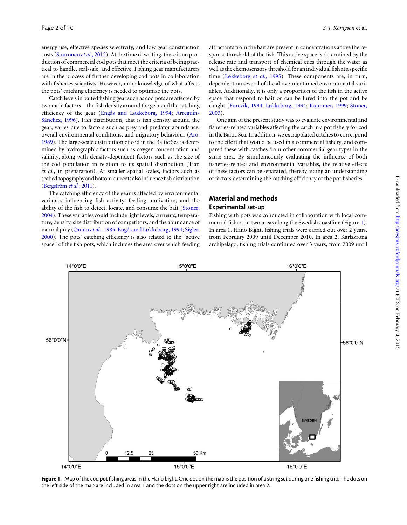energy use, effective species selectivity, and low gear construction costs ([Suuronen](#page-9-0) et al., 2012). At the time of writing, there is no production of commercial cod pots that meet the criteria of being practical to handle, seal-safe, and effective. Fishing gear manufacturers are in the process of further developing cod pots in collaboration with fisheries scientists. However, more knowledge of what affects the pots' catching efficiency is needed to optimize the pots.

Catch levels in baited fishing gear such as cod pots are affected by two main factors—the fish density around the gear and the catching efficiency of the gear (Engås and Løkkeborg, 1994; Arreguín-Sánchez, 1996). Fish distribution, that is fish density around the gear, varies due to factors such as prey and predator abundance, overall environmental conditions, and migratory behaviour ([Aro,](#page-8-0) [1989\)](#page-8-0). The large-scale distribution of cod in the Baltic Sea is determined by hydrographic factors such as oxygen concentration and salinity, along with density-dependent factors such as the size of the cod population in relation to its spatial distribution (Tian et al., in preparation). At smaller spatial scales, factors such as seabed topography and bottom currents also influence fish distribution (Bergström et al., 2011).

The catching efficiency of the gear is affected by environmental variables influencing fish activity, feeding motivation, and the ability of the fish to detect, locate, and consume the bait ([Stoner,](#page-9-0) [2004\)](#page-9-0). These variables could include light levels, currents, temperature, density, size distribution of competitors, and the abundance of natural prey [\(Quinn](#page-9-0) et al., 1985; Engås and Løkkeborg, 1994; [Sigler,](#page-9-0) [2000\)](#page-9-0). The pots' catching efficiency is also related to the "active space" of the fish pots, which includes the area over which feeding attractants from the bait are present in concentrations above the response threshold of the fish. This active space is determined by the release rate and transport of chemical cues through the water as well as the chemosensory threshold for an individual fish at a specific time [\(Løkkeborg](#page-8-0) et al., 1995). These components are, in turn, dependent on several of the above-mentioned environmental variables. Additionally, it is only a proportion of the fish in the active space that respond to bait or can be lured into the pot and be caught [\(Furevik, 1994;](#page-8-0) [Løkkeborg, 1994;](#page-8-0) [Kaimmer, 1999](#page-8-0); [Stoner,](#page-9-0) [2003\)](#page-9-0).

One aim of the present study was to evaluate environmental and fisheries-related variables affecting the catch in a pot fishery for cod in the Baltic Sea. In addition, we extrapolated catches to correspond to the effort that would be used in a commercial fishery, and compared these with catches from other commercial gear types in the same area. By simultaneously evaluating the influence of both fisheries-related and environmental variables, the relative effects of these factors can be separated, thereby aiding an understanding of factors determining the catching efficiency of the pot fisheries.

# Material and methods Experimental set-up

Fishing with pots was conducted in collaboration with local commercial fishers in two areas along the Swedish coastline (Figure 1). In area 1, Hanö Bight, fishing trials were carried out over 2 years, from February 2009 until December 2010. In area 2, Karlskrona archipelago, fishing trials continued over 3 years, from 2009 until



Figure 1. Map of the cod pot fishing areas in the Hanö bight. One dot on the map is the position of a string set during one fishing trip. The dots on the left side of the map are included in area 1 and the dots on the upper right are included in area 2.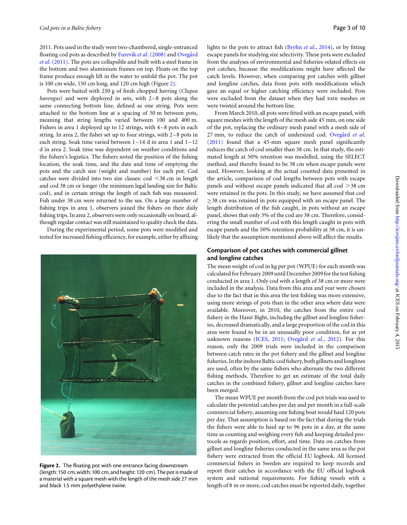2011. Pots used in the study were two-chambered, single-entranced floating cod pots as described by Furevik et al[. \(2008\)](#page-8-0) and Ovegård et al. [\(2011\)](#page-9-0). The pots are collapsible and built with a steel frame in the bottom and two aluminium frames on top. Floats on the top frame produce enough lift in the water to unfold the pot. The pot is 100 cm wide, 150 cm long, and 120 cm high (Figure 2).

Pots were baited with 250 g of fresh chopped herring (Clupea harengus) and were deployed in sets, with  $2-8$  pots along the same connecting bottom line, defined as one string. Pots were attached to the bottom line at a spacing of 50 m between pots, meaning that string lengths varied between 100 and 400 m. Fishers in area 1 deployed up to 12 strings, with 4–8 pots in each string. In area 2, the fisher set up to four strings, with 2 –8 pots in each string. Soak time varied between  $1 - 14$  d in area 1 and  $1 - 12$ d in area 2. Soak time was dependent on weather conditions and the fishers's logistics. The fishers noted the position of the fishing location, the soak time, and the date and time of emptying the pots and the catch size (weight and number) for each pot. Cod catches were divided into two size classes:  $\cot$  <38 cm in length and cod 38 cm or longer (the minimum legal landing size for Baltic cod), and in certain strings the length of each fish was measured. Fish under 38 cm were returned to the sea. On a large number of fishing trips in area 1, observers joined the fishers on their daily fishing trips. In area 2, observers were only occasionally on board, although regular contact was still maintained to quality check the data.

During the experimental period, some pots were modified and tested for increased fishing efficiency, for example, either by affixing



Figure 2. The floating pot with one entrance facing downstream (length: 150 cm, width: 100 cm, and height: 120 cm). The pot is made of a material with a square mesh with the length of the mesh side 27 mm and black 1.5 mm polyethylene twine.

lights to the pots to attract fish [\(Bryhn](#page-8-0) et al., 2014), or by fitting escape panels for studying size selectivity. These pots were excluded from the analyses of environmental and fisheries-related effects on pot catches, because the modifications might have affected the catch levels. However, when comparing pot catches with gillnet and longline catches, data from pots with modifications which gave an equal or higher catching efficiency were included. Pots were excluded from the dataset when they had torn meshes or were twisted around the bottom line.

From March 2010, all pots were fitted with an escape panel, with square meshes with the length of the mesh side 45 mm, on one side of the pot, replacing the ordinary mesh panel with a mesh side of 27 mm, to reduce the catch of undersized cod. Ovegård et al. [\(2011\)](#page-9-0) found that a 45-mm square mesh panel significantly reduces the catch of cod smaller than 38 cm. In that study, the estimated length at 50% retention was modelled, using the SELECT method, and thereby found to be 38 cm when escape panels were used. However, looking at the actual counted data presented in the article, comparison of cod lengths between pots with escape panels and without escape panels indicated that all  $\cot$   $>$  38 cm were retained in the pots. In this study, we have assumed that cod  $\geq$ 38 cm was retained in pots equipped with an escape panel. The length distribution of the fish caught, in pots without an escape panel, shows that only 3% of the cod are 38 cm. Therefore, considering the small number of cod with this length caught in pots with escape panels and the 50% retention probability at 38 cm, it is unlikely that the assumption mentioned above will affect the results.

# Comparison of pot catches with commercial gillnet and longline catches

The mean weight of cod in kg per pot (WPUE) for each month was calculated for February 2009 until December 2009 for the test fishing conducted in area 1. Only cod with a length of 38 cm or more were included in the analysis. Data from this area and year were chosen due to the fact that in this area the test fishing was more extensive, using more strings of pots than in the other area where data were available. Moreover, in 2010, the catches from the entire cod fishery in the Hanö Bight, including the gillnet and longline fisheries, decreased dramatically, and a large proportion of the cod in this area were found to be in an unusually poor condition, for as yet unknown reasons ([ICES, 2011;](#page-8-0) Ovegård et al., 2012). For this reason, only the 2009 trials were included in the comparison between catch rates in the pot fishery and the gillnet and longline fisheries. In the inshore Baltic cod fishery, both gillnets and longlines are used, often by the same fishers who alternate the two different fishing methods. Therefore to get an estimate of the total daily catches in the combined fishery, gillnet and longline catches have been merged.

The mean WPUE per month from the cod pot trials was used to calculate the potential catches per day and per month in a full-scale commercial fishery, assuming one fishing boat would haul 120 pots per day. That assumption is based on the fact that during the trials the fishers were able to haul up to 96 pots in a day, at the same time as counting and weighing every fish and keeping detailed protocols as regards position, effort, and time. Data on catches from gillnet and longline fisheries conducted in the same area as the pot fishery were extracted from the official EU logbook. All licensed commercial fishers in Sweden are required to keep records and report their catches in accordance with the EU official logbook system and national requirements. For fishing vessels with a length of 8 m or more, cod catches must be reported daily, together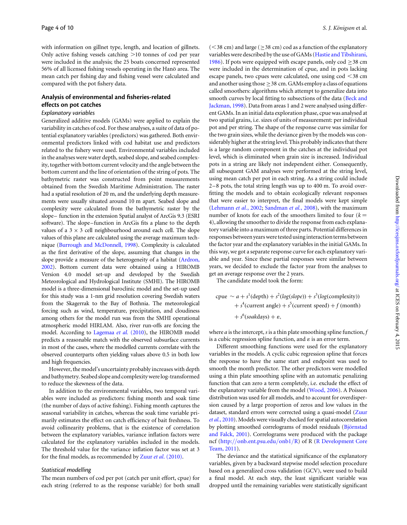with information on gillnet type, length, and location of gillnets. Only active fishing vessels catching  $>10$  tonnes of cod per year were included in the analysis; the 25 boats concerned represented 56% of all licensed fishing vessels operating in the Hanö area. The mean catch per fishing day and fishing vessel were calculated and compared with the pot fishery data.

# Analysis of environmental and fisheries-related effects on pot catches

#### Explanatory variables

Generalized additive models (GAMs) were applied to explain the variability in catches of cod. For these analyses, a suite of data of potential explanatory variables (predictors) was gathered. Both environmental predictors linked with cod habitat use and predictors related to the fishery were used. Environmental variables included in the analyses were water depth, seabed slope, and seabed complexity, together with bottom current velocity and the angle between the bottom current and the line of orientation of the string of pots. The bathymetric raster was constructed from point measurements obtained from the Swedish Maritime Administration. The raster had a spatial resolution of 20 m, and the underlying depth measurements were usually situated around 10 m apart. Seabed slope and complexity were calculated from the bathymetric raster by the slope– function in the extension Spatial analyst of ArcGis 9.3 (ESRI software). The slope–function in ArcGis fits a plane to the depth values of a  $3 \times 3$  cell neighbourhood around each cell. The slope values of this plane are calculated using the average maximum technique ([Burrough and McDonnell, 1998](#page-8-0)). Complexity is calculated as the first derivative of the slope, assuming that changes in the slope provide a measure of the heterogeneity of a habitat [\(Ardron,](#page-8-0) [2002](#page-8-0)). Bottom current data were obtained using a HIROMB Version 4.0 model set-up and developed by the Swedish Meteorological and Hydrological Institute (SMHI). The HIROMB model is a three-dimensional baroclinic model and the set-up used for this study was a 1-nm grid resolution covering Swedish waters from the Skagerrak to the Bay of Bothnia. The meteorological forcing such as wind, temperature, precipitation, and cloudiness among others for the model run was from the SMHI operational atmospheric model HIRLAM. Also, river run-offs are forcing the model. According to [Lagemaa](#page-8-0) et al. (2010), the HIROMB model predicts a reasonable match with the observed subsurface currents in most of the cases, where the modelled currents correlate with the observed counterparts often yielding values above 0.5 in both low and high frequencies.

However, the model's uncertainty probably increases with depth and bathymetry. Seabed slope and complexity were log-transformed to reduce the skewness of the data.

In addition to the environmental variables, two temporal variables were included as predictors: fishing month and soak time (the number of days of active fishing). Fishing month captures the seasonal variability in catches, whereas the soak time variable primarily estimates the effect on catch efficiency of bait freshness. To avoid collinearity problems, that is the existence of correlation between the explanatory variables, variance inflation factors were calculated for the explanatory variables included in the models. The threshold value for the variance inflation factor was set at 3 for the final models, as recommended by Zuur et al[. \(2010\)](#page-9-0).

#### Statistical modelling

The mean numbers of cod per pot (catch per unit effort, cpue) for each string (referred to as the response variable) for both small ( $<$ 38 cm) and large ( $\geq$ 38 cm) cod as a function of the explanatory variables were described by the use of GAMs ([Hastie and Tibshirani,](#page-8-0) [1986\)](#page-8-0). If pots were equipped with escape panels, only cod  $\geq$  38 cm were included in the determination of cpue, and in pots lacking escape panels, two cpues were calculated, one using  $\cot$  <38 cm and another using those  $\geq$  38 cm. GAMs employ a class of equations called smoothers: algorithms which attempt to generalize data into smooth curves by local fitting to subsections of the data ([Beck and](#page-8-0) [Jackman, 1998\)](#page-8-0). Data from areas 1 and 2 were analysed using different GAMs. In an initial data exploration phase, cpue was analysed at two spatial grains, i.e. sizes of units of measurement: per individual pot and per string. The shape of the response curve was similar for the two grain sizes, while the deviance given by the models was considerably higher at the string level. This probably indicates that there is a large random component in the catches at the individual pot level, which is eliminated when grain size is increased. Individual pots in a string are likely not independent either. Consequently, all subsequent GAM analyses were performed at the string level, using mean catch per pot in each string. As a string could include 2 –8 pots, the total string length was up to 400 m. To avoid overfitting the models and to obtain ecologically relevant responses that were easier to interpret, the final models were kept simple [\(Lehmann](#page-8-0) et al., 2002; [Sandman](#page-9-0) et al., 2008), with the maximum number of knots for each of the smoothers limited to four  $(k =$ 4), allowing the smoother to divide the response from each explanatory variable into a maximum of three parts. Potential differences in responses between years were tested using interaction terms between the factor year and the explanatory variables in the initial GAMs. In this way, we got a separate response curve for each explanatory variable and year. Since these partial responses were similar between years, we decided to exclude the factor year from the analyses to get an average response over the 2 years.

The candidate model took the form:

cpue  $\sim a + s^1(\text{depth}) + s^2(\text{log}(\text{slope})) + s^3(\text{log}(\text{complexity}))$ +  $s^4$ (current angle) +  $s^5$ (current speed) + f (month)  $+ s^6$ (soakdays) +  $\varepsilon$ ,

where  $a$  is the intercept,  $s$  is a thin plate smoothing spline function,  $f$ is a cubic regression spline function, and  $\varepsilon$  is an error term.

Different smoothing functions were used for the explanatory variables in the models. A cyclic cubic regression spline that forces the response to have the same start and endpoint was used to smooth the month predictor. The other predictors were modelled using a thin plate smoothing spline with an automatic penalizing function that can zero a term completely, i.e. exclude the effect of the explanatory variable from the model [\(Wood, 2006](#page-9-0)). A Poisson distribution was used for all models, and to account for overdispersion caused by a large proportion of zeros and low values in the dataset, standard errors were corrected using a quasi-model ([Zuur](#page-9-0) et al.[, 2010](#page-9-0)). Models were visually checked for spatial autocorrelation by plotting smoothed correlograms of model residuals (Björnstad [and Falck, 2001](#page-8-0)). Correlograms were produced with the package ncf ([http:](http://onb.ent.psu.edu/onb1/R)//[onb.ent.psu.edu](http://onb.ent.psu.edu/onb1/R)/onb1/R) of R ([R Development Core](#page-9-0) [Team, 2011](#page-9-0)).

The deviance and the statistical significance of the explanatory variables, given by a backward stepwise model selection procedure based on a generalized cross validation (GCV), were used to build a final model. At each step, the least significant variable was dropped until the remaining variables were statistically significant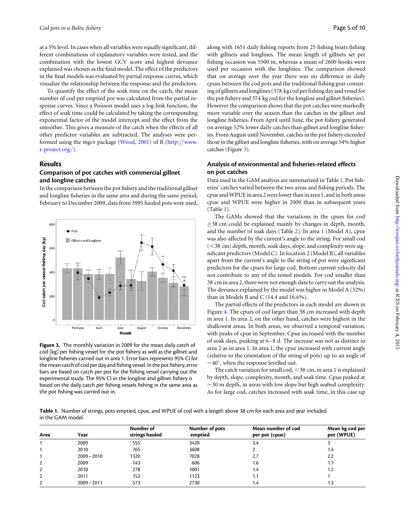<span id="page-4-0"></span>at a 5% level. In cases when all variables were equally significant, different combinations of explanatory variables were tested, and the combination with the lowest GCV score and highest deviance explained was chosen as the final model. The effect of the predictors in the final models was evaluated by partial response curves, which visualize the relationship between the response and the predictors.

To quantify the effect of the soak time on the catch, the mean number of cod per emptied pot was calculated from the partial response curves. Since a Poisson model uses a log-link function, the effect of soak time could be calculated by taking the corresponding exponential factor of the model intercept and the effect from the smoother. This gives a measure of the catch when the effects of all other predictor variables are subtracted. The analyses were performed using the mgcv package ([Wood, 2001\)](#page-9-0) of R [\(http:](http://www.r-project.org/)//[www.](http://www.r-project.org/) [r-project.org](http://www.r-project.org/)/).

# Results

# Comparison of pot catches with commercial gillnet and longline catches

In the comparison between the pot fishery and the traditional gillnet and longline fisheries in the same area and during the same period, February to December 2009, data from 3995 hauled pots were used,



Figure 3. The monthly variation in 2009 for the mean daily catch of cod (kg) per fishing vessel for the pot fishery as well as the gillnet and longline fisheries carried out in area 1. Error bars represents 95% CI for the mean catch of cod per day and fishing vessel. In the pot fishery, error bars are based on catch per pot for the fishing vessel carrying out the experimental study. The 95% CI in the longline and gillnet fishery is based on the daily catch per fishing vessels fishing in the same area as the pot fishing was carried out in.

along with 1651 daily fishing reports from 25 fishing boats fishing with gillnets and longlines. The mean length of gillnets set per fishing occasion was 5500 m, whereas a mean of 2600 hooks were used per occasion with the longlines. The comparison showed that on average over the year there was no difference in daily cpues between the cod pots and the traditional fishing gear consisting of gillnets and longlines (378 kg cod per fishing day and vessel for the pot fishery and 374 kg cod for the longline and gillnet fisheries). However the comparison shows that the pot catches were markedly more variable over the season than the catches in the gillnet and longline fisheries. From April until June, the pot fishery generated on average 52% lower daily catches than gillnet and longline fisheries. From August until November, catches in the pot fishery exceeded those in the gillnet and longline fisheries, with on average 54% higher catches (Figure 3).

# Analysis of environmental and fisheries-related effects on pot catches

Data used in the GAM analysis are summarized in Table 1. Pot fisheries' catches varied between the two areas and fishing periods. The cpue andWPUEin area 2 were lower than in area 1, and in both areas cpue and WPUE were higher in 2009 than in subsequent years (Table 1).

The GAMs showed that the variations in the cpues for cod ≥38 cm could be explained mainly by changes in depth, month, and the number of soak days (Table [2](#page-5-0)). In area 1 (Model A), cpue was also affected by the current's angle to the string. For small cod  $(<$ 38 cm) depth, month, soak days, slope, and complexity were significant predictors (Model C). In location 2 (Model B), all variables apart from the current's angle to the string of pot were significant predictors for the cpues for large cod. Bottom current velocity did not contribute to any of the tested models. For cod smaller than 38 cm in area 2, there were not enough data to carry out the analysis. The deviance explained by the model was higher in Model A (32%) than in Models B and C (14.4 and 16.6%).

The partial effects of the predictors in each model are shown in Figure [4](#page-5-0). The cpues of cod larger than 38 cm increased with depth in area 1. In area 2, on the other hand, catches were highest in the shallowest areas. In both areas, we observed a temporal variation, with peaks of cpue in September. Cpue increased with the number of soak days, peaking at 6 –8 d. The increase was not as distinct in area 2 as in area 1. In area 1, the cpue increased with current angle (relative to the orientation of the string of pots) up to an angle of  $\sim$ 40°, when the response levelled out.

The catch variation for small cod,  $<$  38 cm, in area 1 is explained by depth, slope, complexity, month, and soak time. Cpue peaked at  $\sim$ 30 m depth, in areas with low slope but high seabed complexity. As for large cod, catches increased with soak time, in this case up

Table 1. Number of strings, pots emptied, cpue, and WPUE of cod with a length above 38 cm for each area and year included in the GAM model.

| Area | Year          | Number of<br>strings hauled | Number of pots<br>emptied | Mean number of cod<br>per pot (cpue) | Mean kg cod per<br>pot (WPUE) |  |
|------|---------------|-----------------------------|---------------------------|--------------------------------------|-------------------------------|--|
|      | 2009          | 555                         | 3420                      | 3.4                                  |                               |  |
|      | 2010          | 765                         | 3608                      |                                      | 1.4                           |  |
|      | $2009 - 2010$ | 1320                        | 7028                      | 2.7                                  | 2.2                           |  |
| 2    | 2009          | 143                         | 606                       | 1.6                                  | 1.7                           |  |
| 2    | 2010          | 278                         | 1001                      | 1.4                                  | 1.2                           |  |
| 2    | 2011          | 152                         | 1123                      | 1.1                                  |                               |  |
|      | $2009 - 2011$ | 573                         | 2730                      | 1.4                                  | 1.3                           |  |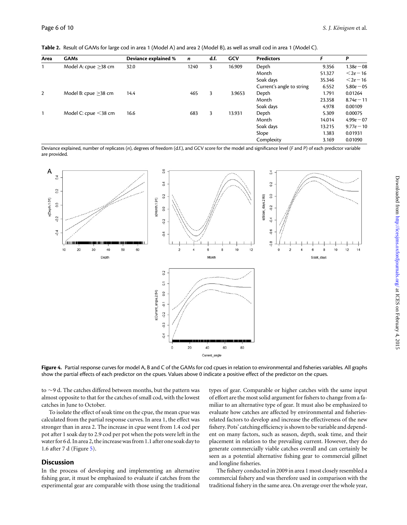<span id="page-5-0"></span>

|  |  |  |  |  |  |  |  | Table 2. Result of GAMs for large cod in area 1 (Model A) and area 2 (Model B), as well as small cod in area 1 (Model C). |  |
|--|--|--|--|--|--|--|--|---------------------------------------------------------------------------------------------------------------------------|--|
|--|--|--|--|--|--|--|--|---------------------------------------------------------------------------------------------------------------------------|--|

| Area           | <b>GAMs</b>                | Deviance explained % | n    | d.f. | <b>GCV</b> | <b>Predictors</b>         | F      | P            |
|----------------|----------------------------|----------------------|------|------|------------|---------------------------|--------|--------------|
| $\mathbf{1}$   | Model A: cpue $\geq$ 38 cm | 32.0                 | 1240 | 3    | 16.909     | Depth                     | 9.356  | $1.38e - 08$ |
|                |                            |                      |      |      |            | Month                     | 51.327 | $<$ 2e – 16  |
|                |                            |                      |      |      |            | Soak days                 | 35.346 | $<$ 2e – 16  |
|                |                            |                      |      |      |            | Current's angle to string | 6.552  | $5.80e - 05$ |
| $\overline{2}$ | Model B: cpue $\geq$ 38 cm | 14.4                 | 465  | 3    | 3.9653     | Depth                     | 1.791  | 0.01264      |
|                |                            |                      |      |      |            | Month                     | 23.358 | $8.74e - 11$ |
|                |                            |                      |      |      |            | Soak days                 | 4.978  | 0.00109      |
| 1              | Model C: $cpue < 38 cm$    | 16.6                 | 683  | 3    | 13.931     | Depth                     | 5.309  | 0.00075      |
|                |                            |                      |      |      |            | Month                     | 14.014 | $4.99e - 07$ |
|                |                            |                      |      |      |            | Soak days                 | 13.215 | $9.77e - 10$ |
|                |                            |                      |      |      |            | Slope                     | 1.383  | 0.01931      |
|                |                            |                      |      |      |            | Complexity                | 3.169  | 0.01090      |

Deviance explained, number of replicates (n), degrees of freedom (d.f.), and GCV score for the model and significance level (F and P) of each predictor variable are provided.



Figure 4. Partial response curves for model A, B and C of the GAMs for cod cpues in relation to environmental and fisheries variables. All graphs show the partial effects of each predictor on the cpues. Values above 0 indicate a positive effect of the predictor on the cpues.

to  $\sim$ 9 d. The catches differed between months, but the pattern was almost opposite to that for the catches of small cod, with the lowest catches in June to October.

To isolate the effect of soak time on the cpue, the mean cpue was calculated from the partial response curves. In area 1, the effect was stronger than in area 2. The increase in cpue went from 1.4 cod per pot after 1 soak day to 2.9 cod per pot when the pots were left in the water for 6 d. In area 2, the increase was from 1.1 after one soak day to 1.6 after 7 d (Figure [5\)](#page-7-0).

#### **Discussion**

In the process of developing and implementing an alternative fishing gear, it must be emphasized to evaluate if catches from the experimental gear are comparable with those using the traditional

types of gear. Comparable or higher catches with the same input of effort are the most solid argument for fishers to change from a familiar to an alternative type of gear. It must also be emphasized to evaluate how catches are affected by environmental and fisheriesrelated factors to develop and increase the effectiveness of the new fishery. Pots' catching efficiency is shown to be variable and dependent on many factors, such as season, depth, soak time, and their placement in relation to the prevailing current. However, they do generate commercially viable catches overall and can certainly be seen as a potential alternative fishing gear to commercial gillnet and longline fisheries.

The fishery conducted in 2009 in area 1 most closely resembled a commercial fishery and was therefore used in comparison with the traditional fishery in the same area. On average over the whole year,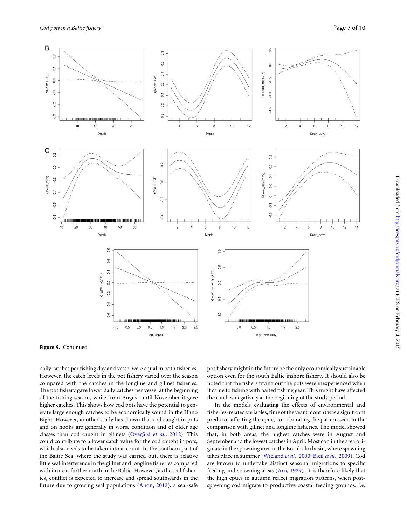

Figure 4. Continued

daily catches per fishing day and vessel were equal in both fisheries. However, the catch levels in the pot fishery varied over the season compared with the catches in the longline and gillnet fisheries. The pot fishery gave lower daily catches per vessel at the beginning of the fishing season, while from August until November it gave higher catches. This shows how cod pots have the potential to generate large enough catches to be economically sound in the Hanö Bight. However, another study has shown that cod caught in pots and on hooks are generally in worse condition and of older age classes than cod caught in gillnets (Ovegård et al., 2012). This could contribute to a lower catch value for the cod caught in pots, which also needs to be taken into account. In the southern part of the Baltic Sea, where the study was carried out, there is relative little seal interference in the gillnet and longline fisheries compared with in areas further north in the Baltic. However, as the seal fisheries, conflict is expected to increase and spread southwards in the future due to growing seal populations ([Anon, 2012](#page-8-0)), a seal-safe

pot fishery might in the future be the only economically sustainable option even for the south Baltic inshore fishery. It should also be noted that the fishers trying out the pots were inexperienced when it came to fishing with baited fishing gear. This might have affected the catches negatively at the beginning of the study period.

In the models evaluating the effects of environmental and fisheries-related variables, time of the year (month) was a significant predictor affecting the cpue, corroborating the pattern seen in the comparison with gillnet and longline fisheries. The model showed that, in both areas, the highest catches were in August and September and the lowest catches in April. Most cod in the area originate in the spawning area in the Bornholm basin, where spawning takes place in summer ([Wieland](#page-9-0) et al., 2000; Bleil et al.[, 2009](#page-8-0)). Cod are known to undertake distinct seasonal migrations to specific feeding and spawning areas [\(Aro, 1989\)](#page-8-0). It is therefore likely that the high cpues in autumn reflect migration patterns, when postspawning cod migrate to productive coastal feeding grounds, i.e.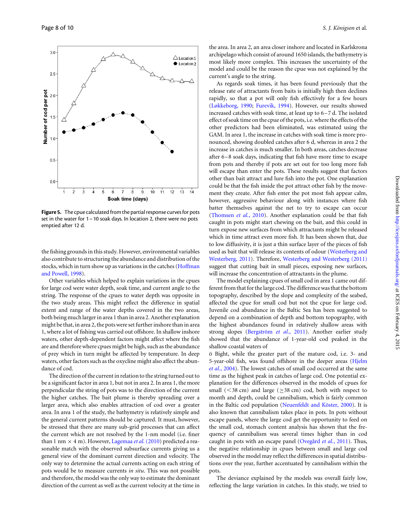<span id="page-7-0"></span>

Figure 5. The cpue calculated from the partial response curves for pots set in the water for 1–10 soak days. In location 2, there were no pots emptied after 12 d.

the fishing grounds in this study. However, environmental variables also contribute to structuring the abundance and distribution of the stocks, which in turn show up as variations in the catches [\(Hoffman](#page-8-0) [and Powell, 1998](#page-8-0)).

Other variables which helped to explain variations in the cpues for large cod were water depth, soak time, and current angle to the string. The response of the cpues to water depth was opposite in the two study areas. This might reflect the difference in spatial extent and range of the water depths covered in the two areas, both being much larger in area 1 than in area 2. Another explanation might be that, in area 2, the pots were set further inshore than in area 1, where a lot of fishing was carried out offshore. In shallow inshore waters, other depth-dependent factors might affect where the fish are and therefore where cpues might be high, such as the abundance of prey which in turn might be affected by temperature. In deep waters, other factors such as the oxycline might also affect the abundance of cod.

The direction of the current in relation to the string turned out to be a significant factor in area 1, but not in area 2. In area 1, the more perpendicular the string of pots was to the direction of the current the higher catches. The bait plume is thereby spreading over a larger area, which also enables attraction of cod over a greater area. In area 1 of the study, the bathymetry is relatively simple and the general current patterns should be captured. It must, however, be stressed that there are many sub-grid processes that can affect the current which are not resolved by the 1-nm model (i.e. finer than 1 nm  $\times$  4 m). However, [Lagemaa](#page-8-0) et al. (2010) predicted a reasonable match with the observed subsurface currents giving us a general view of the dominant current direction and velocity. The only way to determine the actual currents acting on each string of pots would be to measure currents in situ. This was not possible and therefore, the model was the only way to estimate the dominant direction of the current as well as the current velocity at the time in

the area. In area 2, an area closer inshore and located in Karlskrona archipelago which consist of around 1650 islands, the bathymetry is most likely more complex. This increases the uncertainty of the model and could be the reason the cpue was not explained by the current's angle to the string.

As regards soak times, it has been found previously that the release rate of attractants from baits is initially high then declines rapidly, so that a pot will only fish effectively for a few hours [\(Løkkeborg, 1990;](#page-8-0) [Furevik, 1994\)](#page-8-0). However, our results showed increased catches with soak time, at least up to  $6-7$  d. The isolated effect of soak time on the cpue of the pots, i.e. where the effects of the other predictors had been eliminated, was estimated using the GAM. In area 1, the increase in catches with soak time is more pronounced, showing doubled catches after 6 d, whereas in area 2 the increase in catches is much smaller. In both areas, catches decrease after 6-8 soak days, indicating that fish have more time to escape from pots and thereby if pots are set out for too long more fish will escape than enter the pots. These results suggest that factors other than bait attract and lure fish into the pot. One explanation could be that the fish inside the pot attract other fish by the movement they create. After fish enter the pot most fish appear calm, however, aggressive behaviour along with instances where fish batter themselves against the net to try to escape can occur [\(Thomsen](#page-9-0) et al., 2010). Another explanation could be that fish caught in pots might start chewing on the bait, and this could in turn expose new surfaces from which attractants might be released which in time attract even more fish. It has been shown that, due to low diffusivity, it is just a thin surface layer of the pieces of fish used as bait that will release its contents of odour [\(Westerberg and](#page-9-0) [Westerberg, 2011](#page-9-0)). Therefore, [Westerberg and Westerberg \(2011\)](#page-9-0) suggest that cutting bait in small pieces, exposing new surfaces, will increase the concentration of attractants in the plume.

The model explaining cpues of small cod in area 1 came out different from that for the large cod. The difference was that the bottom topography, described by the slope and complexity of the seabed, affected the cpue for small cod but not the cpue for large cod. Juvenile cod abundance in the Baltic Sea has been suggested to depend on a combination of depth and bottom topography, with the highest abundances found in relatively shallow areas with strong slopes (Bergström et al., 2011). Another earlier study showed that the abundance of 1-year-old cod peaked in the shallow coastal waters of

o¨ Bight, while the greater part of the mature cod, i.e. 3- and 5-year-old fish, was found offshore in the deeper areas [\(Hjelm](#page-8-0) et al.[, 2004\)](#page-8-0). The lowest catches of small cod occurred at the same time as the highest peak in catches of large cod. One potential explanation for the differences observed in the models of cpues for small ( $<$ 38 cm) and large ( $\geq$ 38 cm) cod, both with respect to month and depth, could be cannibalism, which is fairly common in the Baltic cod population (Neuenfeldt and Köster, 2000). It is also known that cannibalism takes place in pots. In pots without escape panels, where the large cod get the opportunity to feed on the small cod, stomach content analysis has shown that the frequency of cannibalism was several times higher than in cod caught in pots with an escape panel (Ovegård et al., 2011). Thus, the negative relationship in cpues between small and large cod observed in the model may reflect the differences in spatial distributions over the year, further accentuated by cannibalism within the pots.

The deviance explained by the models was overall fairly low, reflecting the large variation in catches. In this study, we tried to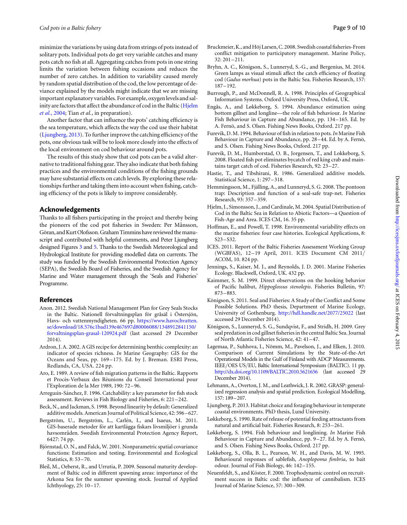<span id="page-8-0"></span>minimize the variations by using data from strings of pots instead of solitary pots. Individual pots do get very variable catches and many pots catch no fish at all. Aggregating catches from pots in one string limits the variation between fishing occasions and reduces the number of zero catches. In addition to variability caused merely by random spatial distribution of the cod, the low percentage of deviance explained by the models might indicate that we are missing important explanatory variables. For example, oxygenlevels and salinity are factors that affect the abundance of cod in the Baltic (Hjelm et al., 2004; Tian et al., in preparation).

Another factor that can influence the pots' catching efficiency is the sea temperature, which affects the way the cod use their habitat (Ljungberg, 2013). To further improve the catching efficiency of the pots, one obvious task will be to look more closely into the effects of the local environment on cod behaviour around pots.

The results of this study show that cod pots can be a valid alternative to traditional fishing gear. They also indicate that both fishing practices and the environmental conditions of the fishing grounds may have substantial effects on catch levels. By exploring these relationships further and taking them into account when fishing, catching efficiency of the pots is likely to improve considerably.

# Acknowledgements

Thanks to all fishers participating in the project and thereby being the pioneers of the cod pot fisheries in Sweden: Per Månsson, Göran, and Kurt Olofsson. Graham Timmins have reviewed the manuscript and contributed with helpful comments, and Peter Ljungberg designed Figures [3](#page-4-0) and [5](#page-7-0). Thanks to the Swedish Meteorological and Hydrological Institute for providing modelled data on currents. The study was funded by the Swedish Environmental Protection Agency (SEPA), the Swedish Board of Fisheries, and the Swedish Agency for Marine and Water management through the 'Seals and Fisheries' Programme.

# References

- Anon. 2012. Swedish National Management Plan for Grey Seals Stocks in the Baltic. Nationell förvaltningsplan för gråsäl i Östersjön, Havs- och vattenmyndigheten. 66 pp. [https://www.havochvatten.](https://www.havochvatten.se/download/18.576c1bad139e467697d80006088/1348912841150/forvaltningsplan-grasal-120924.pdf) [se/download/18.576c1bad139e467697d80006088/1348912841150/](https://www.havochvatten.se/download/18.576c1bad139e467697d80006088/1348912841150/forvaltningsplan-grasal-120924.pdf) [forvaltningsplan-grasal-120924.pdf](https://www.havochvatten.se/download/18.576c1bad139e467697d80006088/1348912841150/forvaltningsplan-grasal-120924.pdf) (last accessed 29 December 2014).
- Ardron, J. A. 2002. A GIS recipe for determining benthic complexity: an indicator of species richness. In Marine Geography: GIS for the Oceans and Seas, pp. 169 –175. Ed. by J. Breman. ESRI Press, Redlands, CA, USA. 224 pp.
- Aro, E. 1989. A review of fish migration patterns in the Baltic. Rapports et Procès-Verbaux des Réunions du Conseil International pour l'Exploration de la Mer 1989, 190: 72 –96.
- Arreguiín-Sánchez, F. 1996. Catchability: a key parameter for fish stock assessment. Reviews in Fish Biology and Fisheries, 6: 221 –242.
- Beck, N., and Jackman, S. 1998. Beyond linearity by default: Generalized additivemodels. American Journal of Political Science, 42: 596 –627.
- Bergström, U., Bergström, L., Carlén, I., and Isaeus, M. 2011. GIS-baserade metoder för att kartlägga fiskars livsmiljöer i grunda havsområden. Swedish Environmental Protection Agency Report, 6427: 74 pp.
- Björnstad, O. N., and Falck, W. 2001. Nonparametric spatial covariance functions: Estimation and testing. Environmental and Ecological Statistics, 8: 53 –70.
- Bleil, M., Oeberst, R., and Urrutia, P. 2009. Seasonal maturity development of Baltic cod in different spawning areas: importance of the Arkona Sea for the summer spawning stock. Journal of Applied Ichthyology, 25: 10–17.
- Bruckmeier, K., and Höj Larsen, C. 2008. Swedish coastal fisheries-From conflict mitigation to participatory management. Marine Policy, 32: 201–211.
- Bryhn, A. C., Königson, S., Lunneryd, S.-G., and Bergenius, M. 2014. Green lamps as visual stimuli affect the catch efficiency of floating cod (Gadus morhua) pots in the Baltic Sea. Fisheries Research, 157: 187–192.
- Burrough, P., and McDonnell, R. A. 1998. Principles of Geographical Information Systems. Oxford University Press, Oxford, UK.
- Engås, A., and Løkkeborg, S. 1994. Abundance estimation using bottom gillnet and longline—the role of fish behaviour. In Marine Fish Behaviour in Capture and Abundance, pp. 134 –165. Ed. by A. Fernö, and S. Olsen. Fishing News Books, Oxford. 217 pp.
- Furevik, D. M. 1994. Behaviour of fish in relation to pots.In Marine Fish Behaviour in Capture and Abundance, pp. 28-44. Ed. by A. Fernö, and S. Olsen. Fishing News Books, Oxford. 217 pp.
- Furevik, D. M., Humborstad, O. B., Jorgensen, T., and Lokkeborg, S. 2008. Floated fish pot eliminates bycatch of red king crab and maintains target catch of cod. Fisheries Research, 92: 23–27.
- Hastie, T., and Tibshirani, R. 1986. Generalized additive models. Statistical Science, 1: 297–318.
- Hemmingsson, M., Fjälling, A., and Lunneryd, S. G. 2008. The pontoon trap: Description and function of a seal-safe trap-net. Fisheries Research, 93: 357–359.
- Hjelm, J., Simonsson, J., and Cardinale, M. 2004. Spatial Distribution of Cod in the Baltic Sea in Relation to Abiotic Factors—a Question of Fish-Age and Area. ICES CM, 16. 35 pp.
- Hoffman, E., and Powell, T. 1998. Environmental variability effects on the marine fisheries: four case histories. Ecological Applications, 8: S23–S32.
- ICES. 2011. Report of the Baltic Fisheries Assessment Working Group (WGBFAS), 12–19 April, 2011. ICES Document CM 2011/ ACOM, 10. 824 pp.
- Jennings, S., Kaiser, M. J., and Reynolds, J. D. 2001. Marine Fisheries Ecology. Blackwell, Oxford, UK. 432 pp.
- Kaimmer, S. M. 1999. Direct observations on the hooking behavior of Pacific halibut, Hippoglossus stenolepis. Fisheries Bulletin, 97: 873–883.
- Königson, S. 2011. Seal and Fisheries: A Study of the Conflict and Some Possible Solutions. PhD thesis, Department of Marine Ecology, University of Gothenburg. <http://hdl.handle.net/2077/25022> (last accessed 29 December 2014).
- Königson, S., Lunneryd, S. G., Sundqvist, F., and Stridh, H. 2009. Grey seal predation in cod gillnet fisheries in the central Baltic Sea. Journal of North Atlantic Fisheries Science, 42: 41 –47.
- Lagemaa, P., Suhhova, I., Nõmm, M., Pavelson, J., and Elken, J. 2010. Comparison of Current Simulations by the State-of-the-Art Operational Models in the Gulf of Finland with ADCP Measurements. IEEE/OES US/EU, Baltic International Symposium (BALTIC). 11 pp. <http://dx.doi.org/10.1109/BALTIC.2010.5621656> (last accessed 29 December 2014).
- Lehmann, A., Overton, J. M., and Leathwick, J. R. 2002. GRASP: generalized regression analysis and spatial prediction. Ecological Modelling, 157: 189–207.
- Ljungberg, P. 2013. Habitat choice and foraging behaviour in temperate coastal environments. PhD thesis, Lund University.
- Løkkeborg, S. 1990. Rate of release of potential feeding attractants from natural and artificial bait. Fisheries Research, 8: 253–261.
- Løkkeborg, S. 1994. Fish behaviour and longlining. In Marine Fish Behaviour in Capture and Abundance, pp. 9–27. Ed. by A. Fernö, and S. Olsen. Fishing News Books, Oxford. 217 pp.
- Løkkeborg, S., Olla, B. L., Pearson, W. H., and Davis, M. W. 1995. Behavioural responses of sablefish, Anoplopoma fimbria, to bait odour. Journal of Fish Biology, 46: 142 –155.
- Neuenfeldt, S., and Köster, F. 2000. Trophodynamic control on recruitment success in Baltic cod: the influence of cannibalism. ICES Journal of Marine Science, 57: 300–309.